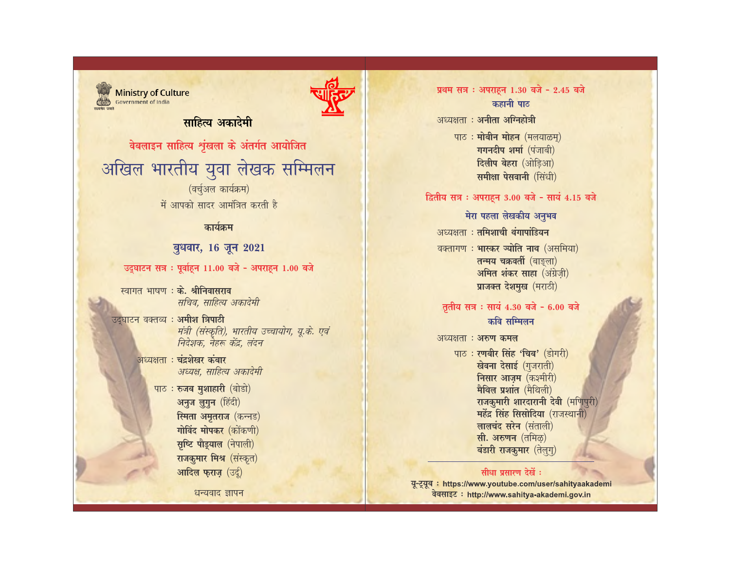# प्रथम सत्र : अपराहन 1.30 बजे - 2.45 बजे



**Ministry of Culture** Government of India

# साहित्य अकाटेमी

वेबलाइन साहित्य शृंखला के अंतर्गत आयोजित

# अखिल भारतीय युवा लेखक सम्मिलन (वर्चुअल कार्यक्रम)

में आपको सादर आमंत्रित करती है

# कार्यक्रम

### बुधवार, 16 जून 2021

उद्घाटन सत्र : पूर्वाहन 11.00 बजे - अपराहन 1.00 बजे

- स्वागत भाषण : के. श्रीनिवासराव सचिव, साहित्य अकादेमी
- उद्घाटन वक्तव्य : अमीश त्रिपाठी मंत्री (संस्कृति), भारतीय उच्चायोग, यू.के. एवं निदेशक, नैहरू केंद्र, लंदन
	- अध्यक्षता : चंद्रशेखर कंबार अध्यक्ष, साहित्य अकादेमी
		- पाठ: रुजब मुशाहारी (बोडो) अनुज लुगुन (हिंदी) स्मिता अमृतराज (कन्नड) गोविंद मोपकर (कोंकणी) सृष्टि पौड़याल (नेपाली) राजकुमार मिश्र (संस्कृत) आदिल फराज़ (उर्दू)

धन्यवाद ज्ञापन

## कहानी पाठ अध्यक्षता : अनीता अग्निहोत्री

पाठ: मोबीन मोहन (मलयाळम्) गगनदीप शर्मा (पंजाबी) दिलीप बेहरा (ओडिआ) समीक्षा पेसवानी (सिंधी)

#### द्वितीय सत्र : अपराहन 3.00 बजे - सायं 4.15 बजे

#### मेरा पहला लेखकीय अनुभव

अध्यक्षता : तमिशाची थंगापांडियन

वक्तागण: भास्कर ज्योति नाथ (असमिया) तन्मय चक्रवर्ती (बाङ्ला) अमित शंकर साहा (अंग्रेज़ी) प्राजक्त देशमुख (मराठी)

## तृतीय सत्र : सायं 4.30 बजे - 6.00 बजे कवि सम्मिलन

#### अध्यक्षता : अरुण कमल

पाठ: रणबीर सिंह 'चिब' (डोगरी) खेवना देसाई (गुजराती) निसार आज़म (कश्मीरी) मैथिल प्रशांत (मैथिली) राजकुमारी शारदारानी देवी (मणिपुरी) महेंद्र सिंह सिसोदिया (राजस्थानी) लालचंद सरेन (संताली) सी. अरुणन (तमिळ) बंडारी राजकुमार (तेलुगू)

#### सीधा प्रसारण देखें :

यू-ट्यूब : https://www.youtube.com/user/sahityaakademi वेबसाइट : http://www.sahitya-akademi.gov.in